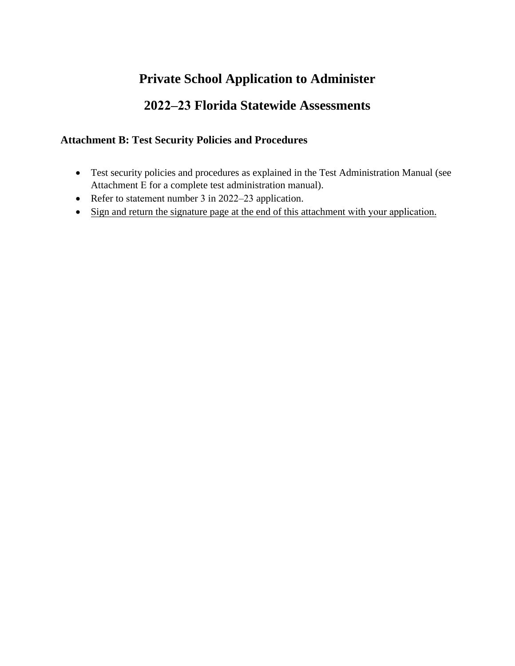# **Private School Application to Administer**

# **2022–23 Florida Statewide Assessments**

### **Attachment B: Test Security Policies and Procedures**

- Test security policies and procedures as explained in the Test Administration Manual (see Attachment E for a complete test administration manual).
- Refer to statement number 3 in 2022–23 application.
- Sign and return the signature page at the end of this attachment with your application.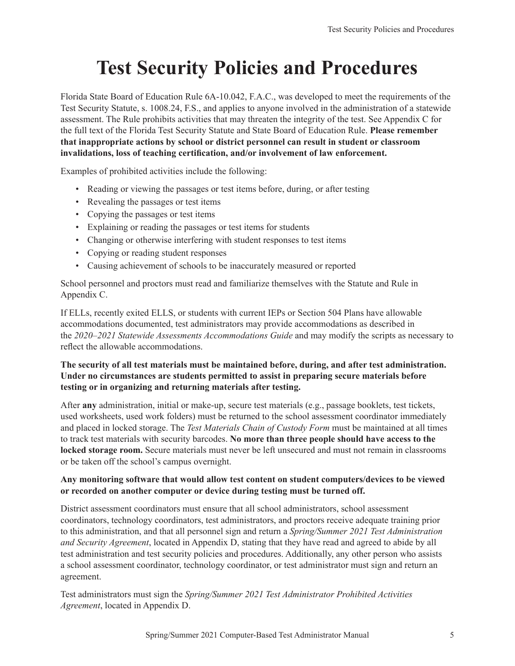# **Test Security Policies and Procedures**

Florida State Board of Education Rule 6A-10.042, F.A.C., was developed to meet the requirements of the Test Security Statute, s. 1008.24, F.S., and applies to anyone involved in the administration of a statewide assessment. The Rule prohibits activities that may threaten the integrity of the test. See Appendix C for the full text of the Florida Test Security Statute and State Board of Education Rule. **Please remember that inappropriate actions by school or district personnel can result in student or classroom invalidations, loss of teaching certification, and/or involvement of law enforcement.**

Examples of prohibited activities include the following:

- Reading or viewing the passages or test items before, during, or after testing
- Revealing the passages or test items
- Copying the passages or test items
- Explaining or reading the passages or test items for students
- Changing or otherwise interfering with student responses to test items
- Copying or reading student responses
- Causing achievement of schools to be inaccurately measured or reported

School personnel and proctors must read and familiarize themselves with the Statute and Rule in Appendix C.

If ELLs, recently exited ELLS, or students with current IEPs or Section 504 Plans have allowable accommodations documented, test administrators may provide accommodations as described in the *2020–2021 Statewide Assessments Accommodations Guide* and may modify the scripts as necessary to reflect the allowable accommodations.

#### **The security of all test materials must be maintained before, during, and after test administration. Under no circumstances are students permitted to assist in preparing secure materials before testing or in organizing and returning materials after testing.**

After **any** administration, initial or make-up, secure test materials (e.g., passage booklets, test tickets, used worksheets, used work folders) must be returned to the school assessment coordinator immediately and placed in locked storage. The *Test Materials Chain of Custody Form* must be maintained at all times to track test materials with security barcodes. **No more than three people should have access to the locked storage room.** Secure materials must never be left unsecured and must not remain in classrooms or be taken off the school's campus overnight.

#### **Any monitoring software that would allow test content on student computers/devices to be viewed or recorded on another computer or device during testing must be turned off.**

District assessment coordinators must ensure that all school administrators, school assessment coordinators, technology coordinators, test administrators, and proctors receive adequate training prior to this administration, and that all personnel sign and return a *Spring/Summer 2021 Test Administration and Security Agreement*, located in Appendix D, stating that they have read and agreed to abide by all test administration and test security policies and procedures. Additionally, any other person who assists a school assessment coordinator, technology coordinator, or test administrator must sign and return an agreement.

Test administrators must sign the *Spring/Summer 2021 Test Administrator Prohibited Activities Agreement*, located in Appendix D.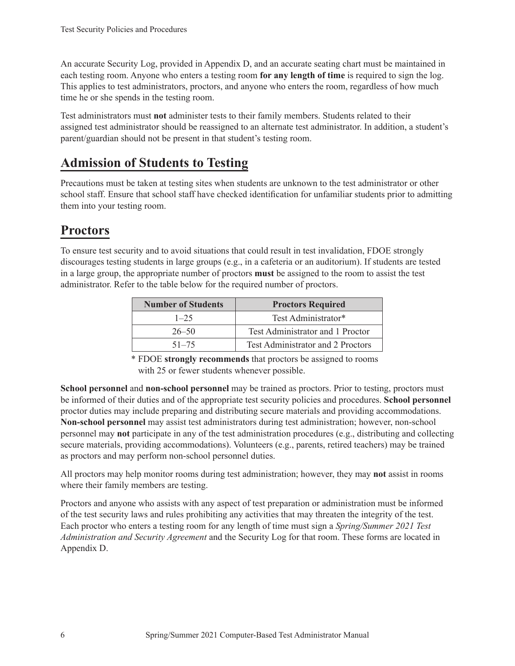An accurate Security Log, provided in Appendix D, and an accurate seating chart must be maintained in each testing room. Anyone who enters a testing room **for any length of time** is required to sign the log. This applies to test administrators, proctors, and anyone who enters the room, regardless of how much time he or she spends in the testing room.

Test administrators must **not** administer tests to their family members. Students related to their assigned test administrator should be reassigned to an alternate test administrator. In addition, a student's parent/guardian should not be present in that student's testing room.

# **Admission of Students to Testing**

Precautions must be taken at testing sites when students are unknown to the test administrator or other school staff. Ensure that school staff have checked identification for unfamiliar students prior to admitting them into your testing room.

# **Proctors**

To ensure test security and to avoid situations that could result in test invalidation, FDOE strongly discourages testing students in large groups (e.g., in a cafeteria or an auditorium). If students are tested in a large group, the appropriate number of proctors **must** be assigned to the room to assist the test administrator. Refer to the table below for the required number of proctors.

| <b>Number of Students</b> | <b>Proctors Required</b>          |
|---------------------------|-----------------------------------|
| $1 - 25$                  | Test Administrator*               |
| $26 - 50$                 | Test Administrator and 1 Proctor  |
| $51 - 75$                 | Test Administrator and 2 Proctors |

\* FDOE **strongly recommends** that proctors be assigned to rooms with 25 or fewer students whenever possible.

**School personnel** and **non-school personnel** may be trained as proctors. Prior to testing, proctors must be informed of their duties and of the appropriate test security policies and procedures. **School personnel**  proctor duties may include preparing and distributing secure materials and providing accommodations. **Non-school personnel** may assist test administrators during test administration; however, non-school personnel may **not** participate in any of the test administration procedures (e.g., distributing and collecting secure materials, providing accommodations). Volunteers (e.g., parents, retired teachers) may be trained as proctors and may perform non-school personnel duties.

All proctors may help monitor rooms during test administration; however, they may **not** assist in rooms where their family members are testing.

Proctors and anyone who assists with any aspect of test preparation or administration must be informed of the test security laws and rules prohibiting any activities that may threaten the integrity of the test. Each proctor who enters a testing room for any length of time must sign a *Spring/Summer 2021 Test Administration and Security Agreement* and the Security Log for that room. These forms are located in Appendix D.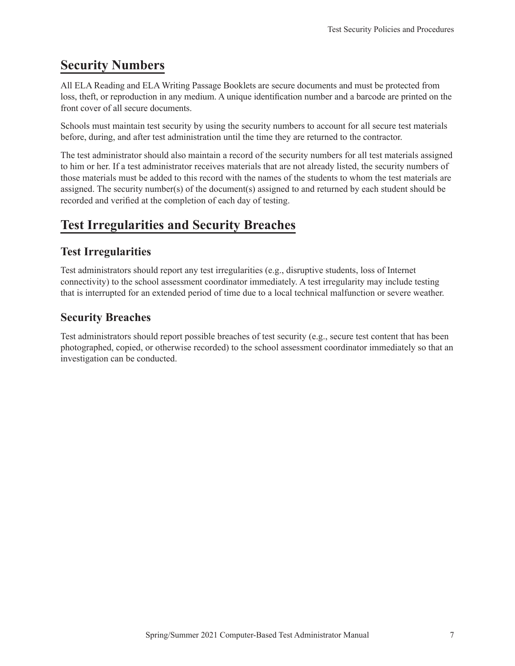## **Security Numbers**

All ELA Reading and ELA Writing Passage Booklets are secure documents and must be protected from loss, theft, or reproduction in any medium. A unique identification number and a barcode are printed on the front cover of all secure documents.

Schools must maintain test security by using the security numbers to account for all secure test materials before, during, and after test administration until the time they are returned to the contractor.

The test administrator should also maintain a record of the security numbers for all test materials assigned to him or her. If a test administrator receives materials that are not already listed, the security numbers of those materials must be added to this record with the names of the students to whom the test materials are assigned. The security number(s) of the document(s) assigned to and returned by each student should be recorded and verified at the completion of each day of testing.

## **Test Irregularities and Security Breaches**

#### **Test Irregularities**

Test administrators should report any test irregularities (e.g., disruptive students, loss of Internet connectivity) to the school assessment coordinator immediately. A test irregularity may include testing that is interrupted for an extended period of time due to a local technical malfunction or severe weather.

#### **Security Breaches**

Test administrators should report possible breaches of test security (e.g., secure test content that has been photographed, copied, or otherwise recorded) to the school assessment coordinator immediately so that an investigation can be conducted.